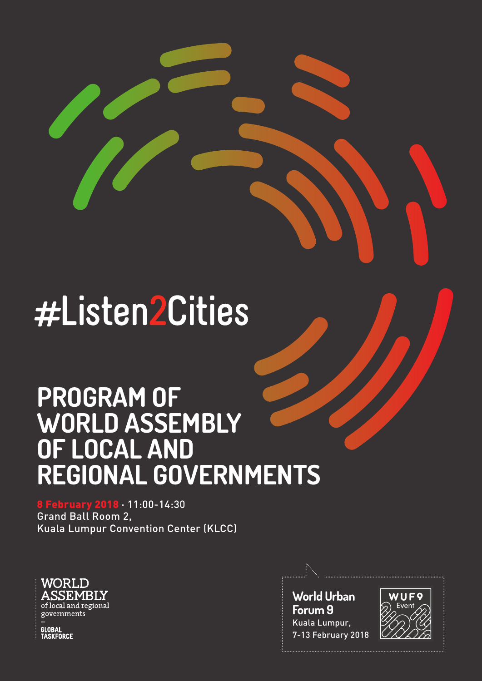# #Listen2Cities

# **PROGRAM OF WORLD ASSEMBLY OF LOCAL AND REGIONAL GOVERNMENTS**

8 February 2018 · 11:00-14:30 Grand Ball Room 2, Kuala Lumpur Convention Center (KLCC)



**World Urban Forum 9** Kuala Lumpur, 7-13 February 2018



GLOBAL<br>TASKFORCE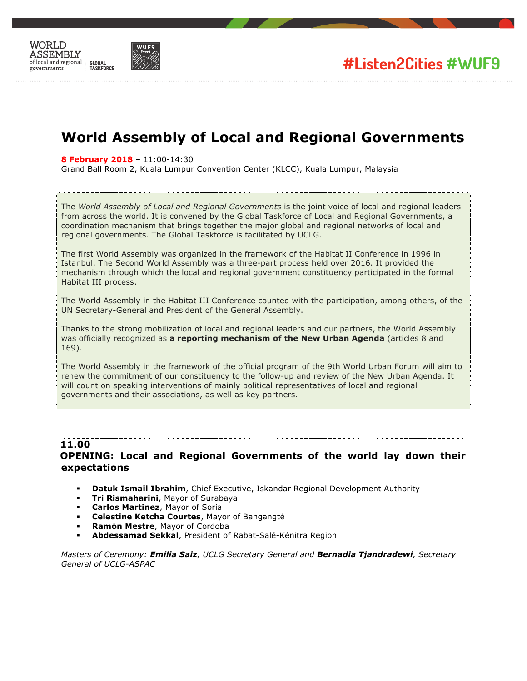



# **World Assembly of Local and Regional Governments**

**8 February 2018** – 11:00-14:30

Grand Ball Room 2, Kuala Lumpur Convention Center (KLCC), Kuala Lumpur, Malaysia

The *World Assembly of Local and Regional Governments* is the joint voice of local and regional leaders from across the world. It is convened by the Global Taskforce of Local and Regional Governments, a coordination mechanism that brings together the major global and regional networks of local and regional governments. The Global Taskforce is facilitated by UCLG.

The first World Assembly was organized in the framework of the Habitat II Conference in 1996 in Istanbul. The Second World Assembly was a three-part process held over 2016. It provided the mechanism through which the local and regional government constituency participated in the formal Habitat III process.

The World Assembly in the Habitat III Conference counted with the participation, among others, of the UN Secretary-General and President of the General Assembly.

Thanks to the strong mobilization of local and regional leaders and our partners, the World Assembly was officially recognized as **a reporting mechanism of the New Urban Agenda** (articles 8 and 169).

The World Assembly in the framework of the official program of the 9th World Urban Forum will aim to renew the commitment of our constituency to the follow-up and review of the New Urban Agenda. It will count on speaking interventions of mainly political representatives of local and regional governments and their associations, as well as key partners.

### **11.00 OPENING: Local and Regional Governments of the world lay down their expectations**

- **Datuk Ismail Ibrahim**, Chief Executive, Iskandar Regional Development Authority
- ! **Tri Rismaharini**, Mayor of Surabaya
- ! **Carlos Martinez**, Mayor of Soria
- ! **Celestine Ketcha Courtes**, Mayor of Bangangté
- ! **Ramón Mestre**, Mayor of Cordoba
- ! **Abdessamad Sekkal**, President of Rabat-Salé-Kénitra Region

*Masters of Ceremony: Emilia Saiz, UCLG Secretary General and Bernadia Tjandradewi, Secretary General of UCLG-ASPAC*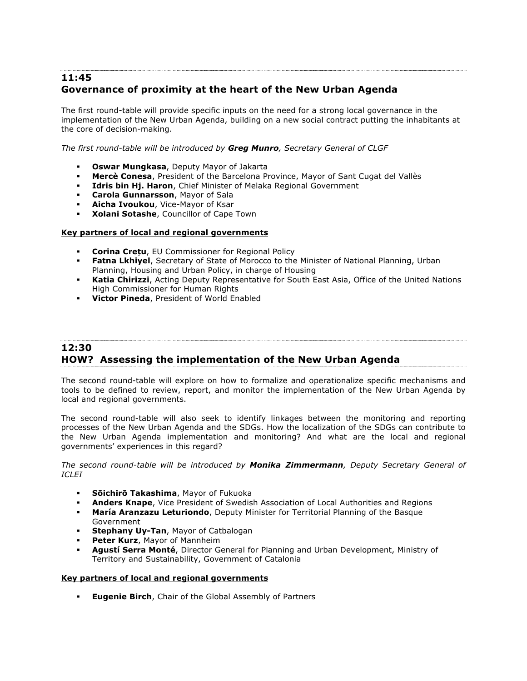## **11:45 Governance of proximity at the heart of the New Urban Agenda**

The first round-table will provide specific inputs on the need for a strong local governance in the implementation of the New Urban Agenda, building on a new social contract putting the inhabitants at the core of decision-making.

*The first round-table will be introduced by Greg Munro, Secretary General of CLGF*

- ! **Oswar Mungkasa**, Deputy Mayor of Jakarta
- ! **Mercè Conesa**, President of the Barcelona Province, Mayor of Sant Cugat del Vallès
- **Idris bin Hj. Haron**, Chief Minister of Melaka Regional Government
- ! **Carola Gunnarsson**, Mayor of Sala
- ! **Aicha Ivoukou**, Vice-Mayor of Ksar
- ! **Xolani Sotashe**, Councillor of Cape Town

#### **Key partners of local and regional governments**

- ! **Corina Crețu**, EU Commissioner for Regional Policy
- **Fatna Lkhiyel**, Secretary of State of Morocco to the Minister of National Planning, Urban Planning, Housing and Urban Policy, in charge of Housing
- ! **Katia Chirizzi**, Acting Deputy Representative for South East Asia, Office of the United Nations High Commissioner for Human Rights
- ! **Victor Pineda**, President of World Enabled

# **12:30 HOW? Assessing the implementation of the New Urban Agenda**

The second round-table will explore on how to formalize and operationalize specific mechanisms and tools to be defined to review, report, and monitor the implementation of the New Urban Agenda by local and regional governments.

The second round-table will also seek to identify linkages between the monitoring and reporting processes of the New Urban Agenda and the SDGs. How the localization of the SDGs can contribute to the New Urban Agenda implementation and monitoring? And what are the local and regional governments' experiences in this regard?

*The second round-table will be introduced by Monika Zimmermann, Deputy Secretary General of ICLEI*

- ! **Sōichirō Takashima**, Mayor of Fukuoka
- ! **Anders Knape**, Vice President of Swedish Association of Local Authorities and Regions
- ! **María Aranzazu Leturiondo**, Deputy Minister for Territorial Planning of the Basque Government
- **Stephany Uy-Tan, Mayor of Catbalogan**
- Peter Kurz, Mayor of Mannheim
- ! **Agustí Serra Monté**, Director General for Planning and Urban Development, Ministry of Territory and Sustainability, Government of Catalonia

#### **Key partners of local and regional governments**

**Eugenie Birch, Chair of the Global Assembly of Partners**